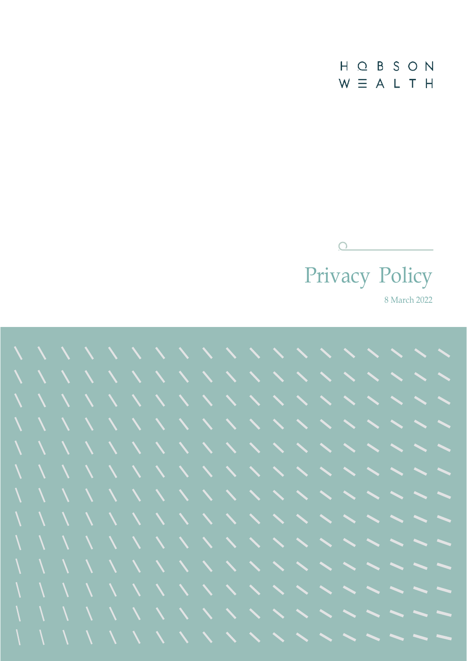$H$  $\overline{O}$ BSON  $W \equiv A L T H$ 



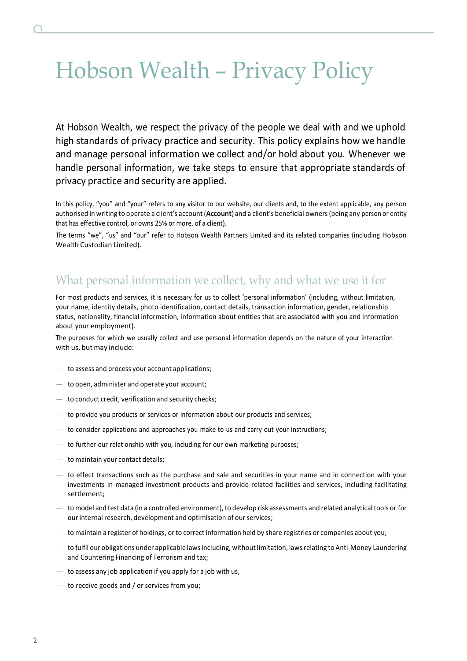# Hobson Wealth – Privacy Policy

At Hobson Wealth, we respect the privacy of the people we deal with and we uphold high standards of privacy practice and security. This policy explains how we handle and manage personal information we collect and/or hold about you. Whenever we handle personal information, we take steps to ensure that appropriate standards of privacy practice and security are applied.

In this policy, "you" and "your" refers to any visitor to our website, our clients and, to the extent applicable, any person authorised in writing to operate a client's account (**Account**) and a client's beneficial owners(being any person or entity that has effective control, or owns 25% or more, of a client).

The terms "we", "us" and "our" refer to Hobson Wealth Partners Limited and its related companies (including Hobson Wealth Custodian Limited).

## What personal information we collect, why and what we use it for

For most products and services, it is necessary for us to collect 'personal information' (including, without limitation, your name, identity details, photo identification, contact details, transaction information, gender, relationship status, nationality, financial information, information about entities that are associated with you and information about your employment).

The purposes for which we usually collect and use personal information depends on the nature of your interaction with us, but may include:

- to assess and process your account applications;
- to open, administer and operate your account;
- to conduct credit, verification and security checks;
- to provide you products or services or information about our products and services;
- to consider applications and approaches you make to us and carry out your instructions;
- to further our relationship with you, including for our own marketing purposes;
- to maintain your contact details;
- to effect transactions such as the purchase and sale and securities in your name and in connection with your investments in managed investment products and provide related facilities and services, including facilitating settlement;
- to model and test data (in a controlled environment), to develop risk assessments and related analytical tools or for our internal research, development and optimisation of our services;
- to maintain a register of holdings, or to correct information held by share registries or companies about you;
- to fulfil our obligations under applicable lawsincluding, withoutlimitation, lawsrelating to Anti-Money Laundering and Countering Financing of Terrorism and tax;
- $-$  to assess any job application if you apply for a job with us,
- to receive goods and / or services from you;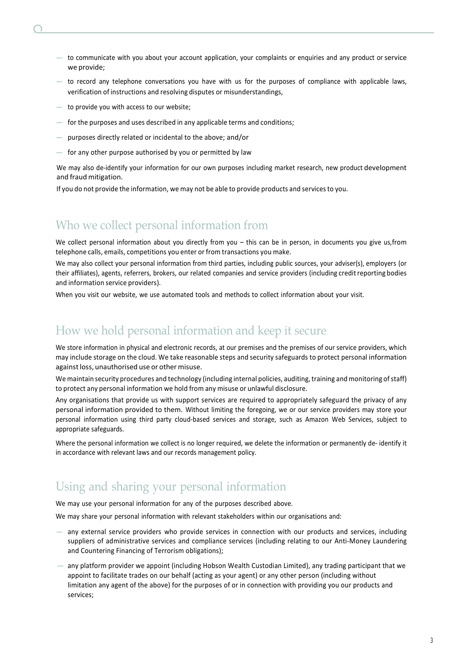- - $-$  to communicate with you about your account application, your complaints or enquiries and any product or service we provide;
	- $-$  to record any telephone conversations you have with us for the purposes of compliance with applicable laws, verification of instructions and resolving disputes or misunderstandings,
	- to provide you with access to our website;
	- for the purposes and uses described in any applicable terms and conditions;
	- purposes directly related or incidental to the above; and/or
	- for any other purpose authorised by you or permitted by law

We may also de-identify your information for our own purposes including market research, new product development and fraud mitigation.

If you do not provide the information, we may not be able to provide products and services to you.

## Who we collect personal information from

We collect personal information about you directly from you – this can be in person, in documents you give us,from telephone calls, emails, competitions you enter or from transactions you make.

We may also collect your personal information from third parties, including public sources, your adviser(s), employers (or their affiliates), agents, referrers, brokers, our related companies and service providers (including credit reporting bodies and information service providers).

When you visit our website, we use automated tools and methods to collect information about your visit.

### How we hold personal information and keep it secure

We store information in physical and electronic records, at our premises and the premises of our service providers, which may include storage on the cloud. We take reasonable steps and security safeguards to protect personal information against loss, unauthorised use or other misuse.

We maintain security procedures and technology (including internal policies, auditing, training and monitoring of staff) to protect any personal information we hold from any misuse or unlawful disclosure.

Any organisations that provide us with support services are required to appropriately safeguard the privacy of any personal information provided to them. Without limiting the foregoing, we or our service providers may store your personal information using third party cloud-based services and storage, such as Amazon Web Services, subject to appropriate safeguards.

Where the personal information we collect is no longer required, we delete the information or permanently de- identify it in accordance with relevant laws and our records management policy.

# Using and sharing your personal information

We may use your personal information for any of the purposes described above.

We may share your personal information with relevant stakeholders within our organisations and:

- any external service providers who provide services in connection with our products and services, including suppliers of administrative services and compliance services (including relating to our Anti-Money Laundering and Countering Financing of Terrorism obligations);
- any platform provider we appoint (including Hobson Wealth Custodian Limited), any trading participant that we appoint to facilitate trades on our behalf (acting as your agent) or any other person (including without limitation any agent of the above) for the purposes of or in connection with providing you our products and services;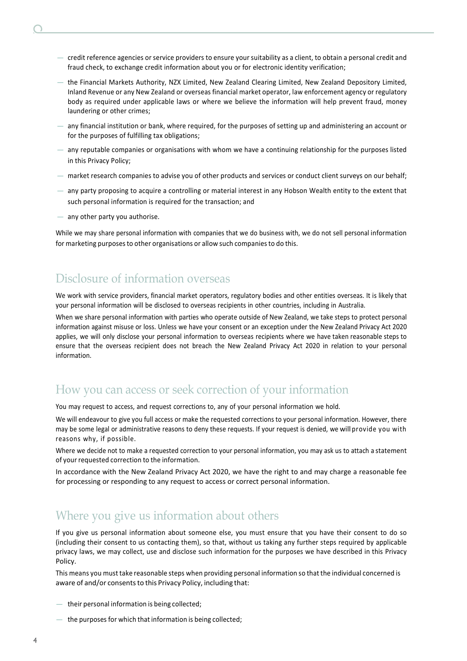- $-$  credit reference agencies or service providers to ensure your suitability as a client, to obtain a personal credit and fraud check, to exchange credit information about you or for electronic identity verification;
- the Financial Markets Authority, NZX Limited, New Zealand Clearing Limited, New Zealand Depository Limited, Inland Revenue or any New Zealand or overseas financial market operator, law enforcement agency or regulatory body as required under applicable laws or where we believe the information will help prevent fraud, money laundering or other crimes;
- $-$  any financial institution or bank, where required, for the purposes of setting up and administering an account or for the purposes of fulfilling tax obligations;
- any reputable companies or organisations with whom we have a continuing relationship for the purposes listed in this Privacy Policy;
- market research companies to advise you of other products and services or conduct client surveys on our behalf;
- any party proposing to acquire a controlling or material interest in any Hobson Wealth entity to the extent that such personal information is required for the transaction; and
- any other party you authorise.

While we may share personal information with companies that we do business with, we do not sell personal information for marketing purposes to other organisations or allow such companies to do this.

#### Disclosure of information overseas

We work with service providers, financial market operators, regulatory bodies and other entities overseas. It is likely that your personal information will be disclosed to overseas recipients in other countries, including in Australia.

When we share personal information with parties who operate outside of New Zealand, we take steps to protect personal information against misuse or loss. Unless we have your consent or an exception under the New Zealand Privacy Act 2020 applies, we will only disclose your personal information to overseas recipients where we have taken reasonable steps to ensure that the overseas recipient does not breach the New Zealand Privacy Act 2020 in relation to your personal information.

#### How you can access or seek correction of your information

You may request to access, and request corrections to, any of your personal information we hold.

We will endeavour to give you full access or make the requested corrections to your personal information. However, there may be some legal or administrative reasons to deny these requests. If your request is denied, we will provide you with reasons why, if possible.

Where we decide not to make a requested correction to your personal information, you may ask us to attach a statement of your requested correction to the information.

In accordance with the New Zealand Privacy Act 2020, we have the right to and may charge a reasonable fee for processing or responding to any request to access or correct personal information.

### Where you give us information about others

If you give us personal information about someone else, you must ensure that you have their consent to do so (including their consent to us contacting them), so that, without us taking any further steps required by applicable privacy laws, we may collect, use and disclose such information for the purposes we have described in this Privacy Policy.

This means you must take reasonable steps when providing personal information so that the individual concerned is aware of and/or consents to this Privacy Policy, including that:

- their personal information is being collected;
- the purposes for which that information is being collected;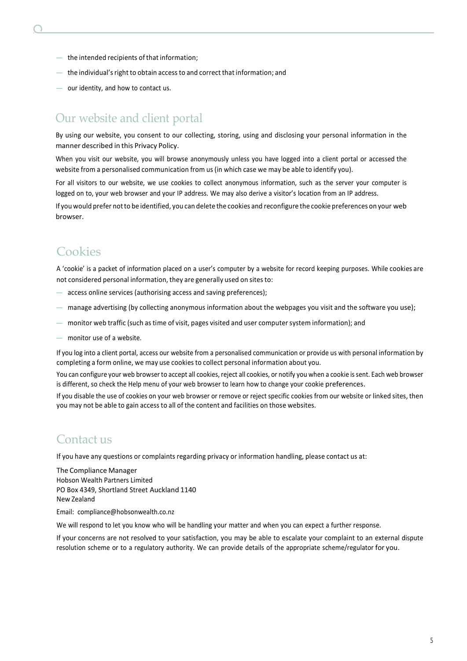- the intended recipients of that information;
- the individual'sright to obtain accessto and correct that information; and
- our identity, and how to contact us.

### Our website and client portal

By using our website, you consent to our collecting, storing, using and disclosing your personal information in the manner described in this Privacy Policy.

When you visit our website, you will browse anonymously unless you have logged into a client portal or accessed the website from a personalised communication from us (in which case we may be able to identify you).

For all visitors to our website, we use cookies to collect anonymous information, such as the server your computer is logged on to, your web browser and your IP address. We may also derive a visitor's location from an IP address.

If you would prefer notto be identified, you can delete the cookies and reconfigure the cookie preferences on your web browser.

## **Cookies**

A 'cookie' is a packet of information placed on a user's computer by a website for record keeping purposes. While cookies are not considered personal information, they are generally used on sitesto:

- access online services (authorising access and saving preferences);
- manage advertising (by collecting anonymous information about the webpages you visit and the software you use);
- monitor web traffic (such as time of visit, pages visited and user computersystem information); and
- monitor use of a website.

If you log into a client portal, access our website from a personalised communication or provide us with personal information by completing a form online, we may use cookies to collect personal information about you.

You can configure your web browser to accept all cookies, reject all cookies, or notify you when a cookie is sent. Each web browser is different, so check the Help menu of your web browser to learn how to change your cookie preferences.

If you disable the use of cookies on your web browser or remove or reject specific cookies from our website or linked sites, then you may not be able to gain access to all of the content and facilities on those websites.

#### Contact us

If you have any questions or complaints regarding privacy or information handling, please contact us at:

The Compliance Manager Hobson Wealth Partners Limited PO Box 4349, Shortland Street Auckland 1140 New Zealand

Email: [compliance@hobsonwealth.co.nz](mailto:compliance@hobsonwealth.co.nz)

We will respond to let you know who will be handling your matter and when you can expect a further response.

If your concerns are not resolved to your satisfaction, you may be able to escalate your complaint to an external dispute resolution scheme or to a regulatory authority. We can provide details of the appropriate scheme/regulator for you.